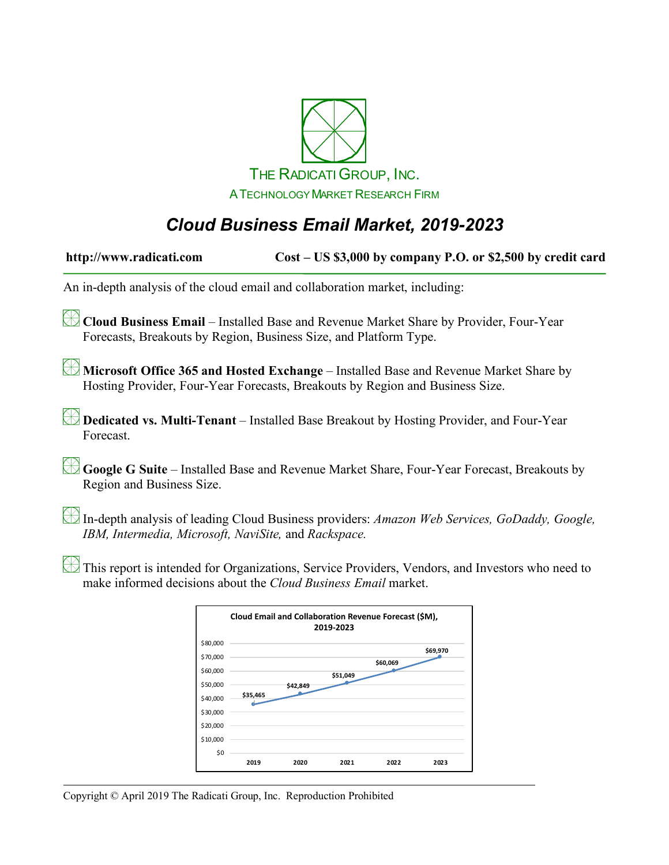

# *Cloud Business Email Market, 2019-2023*

| http://www.radicati.com                                                                                                                                                | Cost - US \$3,000 by company P.O. or \$2,500 by credit card                                                                                                        |  |  |  |
|------------------------------------------------------------------------------------------------------------------------------------------------------------------------|--------------------------------------------------------------------------------------------------------------------------------------------------------------------|--|--|--|
| An in-depth analysis of the cloud email and collaboration market, including:                                                                                           |                                                                                                                                                                    |  |  |  |
| Cloud Business Email - Installed Base and Revenue Market Share by Provider, Four-Year<br>Forecasts, Breakouts by Region, Business Size, and Platform Type.             |                                                                                                                                                                    |  |  |  |
| Microsoft Office 365 and Hosted Exchange – Installed Base and Revenue Market Share by<br>Hosting Provider, Four-Year Forecasts, Breakouts by Region and Business Size. |                                                                                                                                                                    |  |  |  |
| Forecast.                                                                                                                                                              | Dedicated vs. Multi-Tenant – Installed Base Breakout by Hosting Provider, and Four-Year                                                                            |  |  |  |
| Region and Business Size.                                                                                                                                              | Google G Suite - Installed Base and Revenue Market Share, Four-Year Forecast, Breakouts by                                                                         |  |  |  |
|                                                                                                                                                                        | In-depth analysis of leading Cloud Business providers: Amazon Web Services, GoDaddy, Google,<br>IBM, Intermedia, Microsoft, NaviSite, and Rackspace.               |  |  |  |
|                                                                                                                                                                        | This report is intended for Organizations, Service Providers, Vendors, and Investors who need to<br>make informed decisions about the Cloud Business Email market. |  |  |  |
|                                                                                                                                                                        | Cloud Email and Collaboration Revenue Forecast (\$M),<br>2019-2023<br>\$80,000                                                                                     |  |  |  |

\$0 \$10,000 \$20,000 \$30,000 \$40,000 \$50,000 \$60,000 \$70,000

**\$35,465**

**\$42,849**

**\$51,049**

**2019 2020 2021 2022 2023**

**\$60,069**

**\$69,970**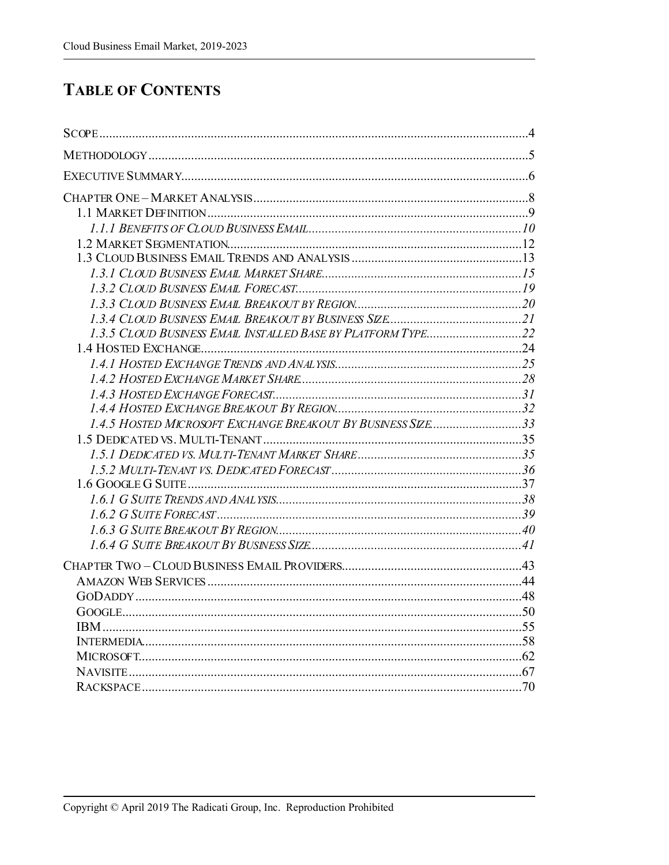#### **TABLE OF CONTENTS**

| 1.4.5 HOSTED MICROSOFT EXCHANGE BREAKOUT BY BUSINESS SIZE33 |  |
|-------------------------------------------------------------|--|
|                                                             |  |
|                                                             |  |
|                                                             |  |
|                                                             |  |
|                                                             |  |
|                                                             |  |
|                                                             |  |
|                                                             |  |
|                                                             |  |
|                                                             |  |
|                                                             |  |
|                                                             |  |
|                                                             |  |
|                                                             |  |
|                                                             |  |
|                                                             |  |
|                                                             |  |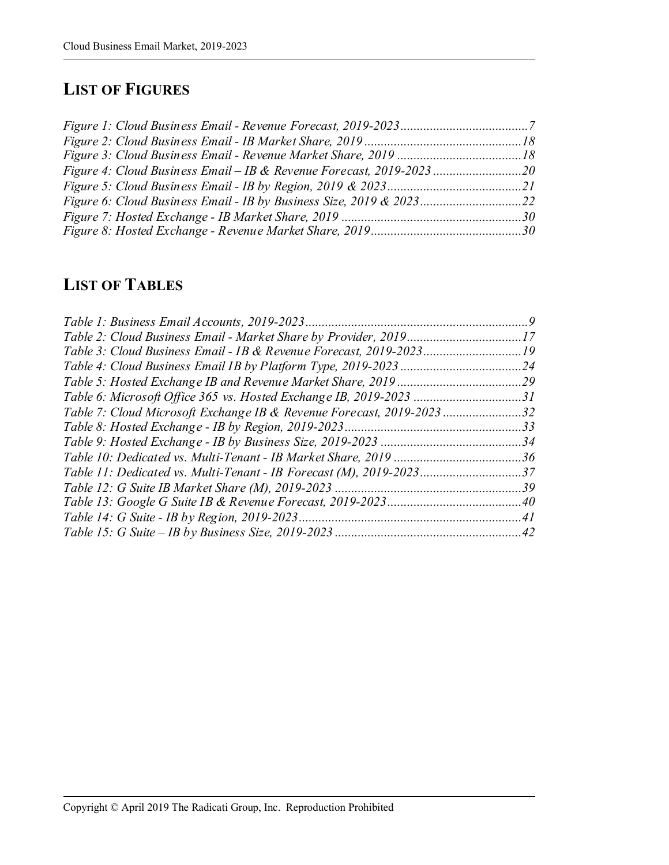# **LIST OF FIGURES**

| Figure 4: Cloud Business Email – IB & Revenue Forecast, 2019-2023 20 |  |
|----------------------------------------------------------------------|--|
|                                                                      |  |
| Figure 6: Cloud Business Email - IB by Business Size, 2019 & 202322  |  |
|                                                                      |  |
|                                                                      |  |
|                                                                      |  |

### **LIST OF TABLES**

| Table 2: Cloud Business Email - Market Share by Provider, 201917     |  |
|----------------------------------------------------------------------|--|
| Table 3: Cloud Business Email - IB & Revenue Forecast, 2019-202319   |  |
|                                                                      |  |
|                                                                      |  |
| Table 6: Microsoft Office 365 vs. Hosted Exchange IB, 2019-2023 31   |  |
| Table 7: Cloud Microsoft Exchange IB & Revenue Forecast, 2019-202332 |  |
|                                                                      |  |
|                                                                      |  |
|                                                                      |  |
| Table 11: Dedicated vs. Multi-Tenant - IB Forecast (M), 2019-202337  |  |
|                                                                      |  |
|                                                                      |  |
|                                                                      |  |
|                                                                      |  |